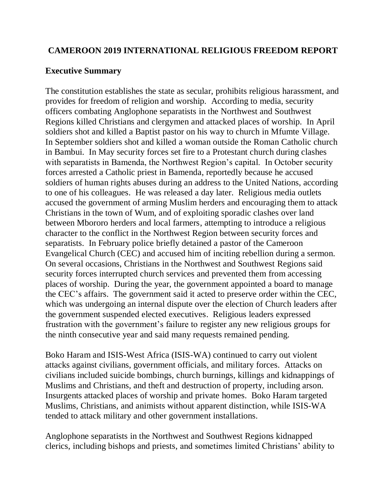## **CAMEROON 2019 INTERNATIONAL RELIGIOUS FREEDOM REPORT**

#### **Executive Summary**

The constitution establishes the state as secular, prohibits religious harassment, and provides for freedom of religion and worship. According to media, security officers combating Anglophone separatists in the Northwest and Southwest Regions killed Christians and clergymen and attacked places of worship. In April soldiers shot and killed a Baptist pastor on his way to church in Mfumte Village. In September soldiers shot and killed a woman outside the Roman Catholic church in Bambui. In May security forces set fire to a Protestant church during clashes with separatists in Bamenda, the Northwest Region's capital. In October security forces arrested a Catholic priest in Bamenda, reportedly because he accused soldiers of human rights abuses during an address to the United Nations, according to one of his colleagues. He was released a day later. Religious media outlets accused the government of arming Muslim herders and encouraging them to attack Christians in the town of Wum, and of exploiting sporadic clashes over land between Mbororo herders and local farmers, attempting to introduce a religious character to the conflict in the Northwest Region between security forces and separatists. In February police briefly detained a pastor of the Cameroon Evangelical Church (CEC) and accused him of inciting rebellion during a sermon. On several occasions, Christians in the Northwest and Southwest Regions said security forces interrupted church services and prevented them from accessing places of worship. During the year, the government appointed a board to manage the CEC's affairs. The government said it acted to preserve order within the CEC, which was undergoing an internal dispute over the election of Church leaders after the government suspended elected executives. Religious leaders expressed frustration with the government's failure to register any new religious groups for the ninth consecutive year and said many requests remained pending.

Boko Haram and ISIS-West Africa (ISIS-WA) continued to carry out violent attacks against civilians, government officials, and military forces. Attacks on civilians included suicide bombings, church burnings, killings and kidnappings of Muslims and Christians, and theft and destruction of property, including arson. Insurgents attacked places of worship and private homes. Boko Haram targeted Muslims, Christians, and animists without apparent distinction, while ISIS-WA tended to attack military and other government installations.

Anglophone separatists in the Northwest and Southwest Regions kidnapped clerics, including bishops and priests, and sometimes limited Christians' ability to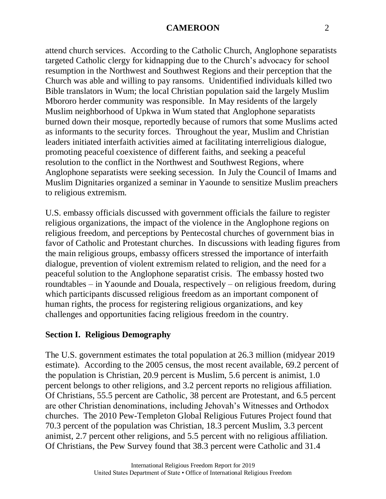attend church services. According to the Catholic Church, Anglophone separatists targeted Catholic clergy for kidnapping due to the Church's advocacy for school resumption in the Northwest and Southwest Regions and their perception that the Church was able and willing to pay ransoms. Unidentified individuals killed two Bible translators in Wum; the local Christian population said the largely Muslim Mbororo herder community was responsible. In May residents of the largely Muslim neighborhood of Upkwa in Wum stated that Anglophone separatists burned down their mosque, reportedly because of rumors that some Muslims acted as informants to the security forces. Throughout the year, Muslim and Christian leaders initiated interfaith activities aimed at facilitating interreligious dialogue, promoting peaceful coexistence of different faiths, and seeking a peaceful resolution to the conflict in the Northwest and Southwest Regions, where Anglophone separatists were seeking secession. In July the Council of Imams and Muslim Dignitaries organized a seminar in Yaounde to sensitize Muslim preachers to religious extremism.

U.S. embassy officials discussed with government officials the failure to register religious organizations, the impact of the violence in the Anglophone regions on religious freedom, and perceptions by Pentecostal churches of government bias in favor of Catholic and Protestant churches. In discussions with leading figures from the main religious groups, embassy officers stressed the importance of interfaith dialogue, prevention of violent extremism related to religion, and the need for a peaceful solution to the Anglophone separatist crisis. The embassy hosted two roundtables – in Yaounde and Douala, respectively – on religious freedom, during which participants discussed religious freedom as an important component of human rights, the process for registering religious organizations, and key challenges and opportunities facing religious freedom in the country.

## **Section I. Religious Demography**

The U.S. government estimates the total population at 26.3 million (midyear 2019 estimate). According to the 2005 census, the most recent available, 69.2 percent of the population is Christian, 20.9 percent is Muslim, 5.6 percent is animist, 1.0 percent belongs to other religions, and 3.2 percent reports no religious affiliation. Of Christians, 55.5 percent are Catholic, 38 percent are Protestant, and 6.5 percent are other Christian denominations, including Jehovah's Witnesses and Orthodox churches. The 2010 Pew-Templeton Global Religious Futures Project found that 70.3 percent of the population was Christian, 18.3 percent Muslim, 3.3 percent animist, 2.7 percent other religions, and 5.5 percent with no religious affiliation. Of Christians, the Pew Survey found that 38.3 percent were Catholic and 31.4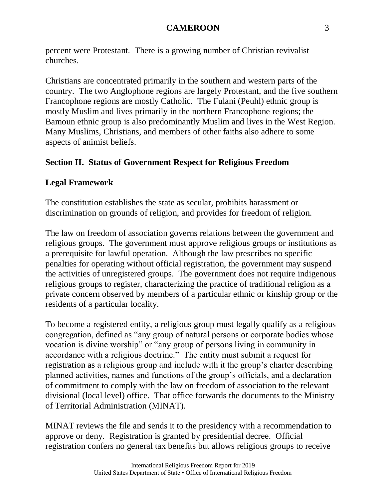percent were Protestant. There is a growing number of Christian revivalist churches.

Christians are concentrated primarily in the southern and western parts of the country. The two Anglophone regions are largely Protestant, and the five southern Francophone regions are mostly Catholic. The Fulani (Peuhl) ethnic group is mostly Muslim and lives primarily in the northern Francophone regions; the Bamoun ethnic group is also predominantly Muslim and lives in the West Region. Many Muslims, Christians, and members of other faiths also adhere to some aspects of animist beliefs.

# **Section II. Status of Government Respect for Religious Freedom**

## **Legal Framework**

The constitution establishes the state as secular, prohibits harassment or discrimination on grounds of religion, and provides for freedom of religion.

The law on freedom of association governs relations between the government and religious groups. The government must approve religious groups or institutions as a prerequisite for lawful operation. Although the law prescribes no specific penalties for operating without official registration, the government may suspend the activities of unregistered groups. The government does not require indigenous religious groups to register, characterizing the practice of traditional religion as a private concern observed by members of a particular ethnic or kinship group or the residents of a particular locality.

To become a registered entity, a religious group must legally qualify as a religious congregation, defined as "any group of natural persons or corporate bodies whose vocation is divine worship" or "any group of persons living in community in accordance with a religious doctrine." The entity must submit a request for registration as a religious group and include with it the group's charter describing planned activities, names and functions of the group's officials, and a declaration of commitment to comply with the law on freedom of association to the relevant divisional (local level) office. That office forwards the documents to the Ministry of Territorial Administration (MINAT).

MINAT reviews the file and sends it to the presidency with a recommendation to approve or deny. Registration is granted by presidential decree. Official registration confers no general tax benefits but allows religious groups to receive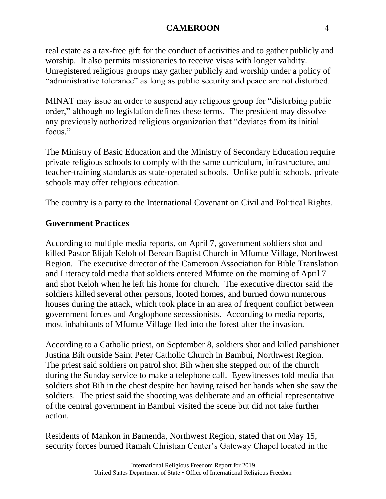real estate as a tax-free gift for the conduct of activities and to gather publicly and worship. It also permits missionaries to receive visas with longer validity. Unregistered religious groups may gather publicly and worship under a policy of "administrative tolerance" as long as public security and peace are not disturbed.

MINAT may issue an order to suspend any religious group for "disturbing public order," although no legislation defines these terms. The president may dissolve any previously authorized religious organization that "deviates from its initial focus."

The Ministry of Basic Education and the Ministry of Secondary Education require private religious schools to comply with the same curriculum, infrastructure, and teacher-training standards as state-operated schools. Unlike public schools, private schools may offer religious education.

The country is a party to the International Covenant on Civil and Political Rights.

# **Government Practices**

According to multiple media reports, on April 7, government soldiers shot and killed Pastor Elijah Keloh of Berean Baptist Church in Mfumte Village, Northwest Region. The executive director of the Cameroon Association for Bible Translation and Literacy told media that soldiers entered Mfumte on the morning of April 7 and shot Keloh when he left his home for church. The executive director said the soldiers killed several other persons, looted homes, and burned down numerous houses during the attack, which took place in an area of frequent conflict between government forces and Anglophone secessionists. According to media reports, most inhabitants of Mfumte Village fled into the forest after the invasion.

According to a Catholic priest, on September 8, soldiers shot and killed parishioner Justina Bih outside Saint Peter Catholic Church in Bambui, Northwest Region. The priest said soldiers on patrol shot Bih when she stepped out of the church during the Sunday service to make a telephone call. Eyewitnesses told media that soldiers shot Bih in the chest despite her having raised her hands when she saw the soldiers. The priest said the shooting was deliberate and an official representative of the central government in Bambui visited the scene but did not take further action.

Residents of Mankon in Bamenda, Northwest Region, stated that on May 15, security forces burned Ramah Christian Center's Gateway Chapel located in the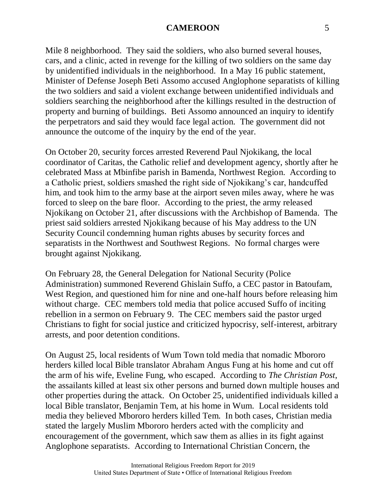Mile 8 neighborhood. They said the soldiers, who also burned several houses, cars, and a clinic, acted in revenge for the killing of two soldiers on the same day by unidentified individuals in the neighborhood. In a May 16 public statement, Minister of Defense Joseph Beti Assomo accused Anglophone separatists of killing the two soldiers and said a violent exchange between unidentified individuals and soldiers searching the neighborhood after the killings resulted in the destruction of property and burning of buildings. Beti Assomo announced an inquiry to identify the perpetrators and said they would face legal action. The government did not announce the outcome of the inquiry by the end of the year.

On October 20, security forces arrested Reverend Paul Njokikang, the local coordinator of Caritas, the Catholic relief and development agency, shortly after he celebrated Mass at Mbinfibe parish in Bamenda, Northwest Region. According to a Catholic priest, soldiers smashed the right side of Njokikang's car, handcuffed him, and took him to the army base at the airport seven miles away, where he was forced to sleep on the bare floor. According to the priest, the army released Njokikang on October 21, after discussions with the Archbishop of Bamenda. The priest said soldiers arrested Njokikang because of his May address to the UN Security Council condemning human rights abuses by security forces and separatists in the Northwest and Southwest Regions. No formal charges were brought against Njokikang.

On February 28, the General Delegation for National Security (Police Administration) summoned Reverend Ghislain Suffo, a CEC pastor in Batoufam, West Region, and questioned him for nine and one-half hours before releasing him without charge. CEC members told media that police accused Suffo of inciting rebellion in a sermon on February 9. The CEC members said the pastor urged Christians to fight for social justice and criticized hypocrisy, self-interest, arbitrary arrests, and poor detention conditions.

On August 25, local residents of Wum Town told media that nomadic Mbororo herders killed local Bible translator Abraham Angus Fung at his home and cut off the arm of his wife, Eveline Fung, who escaped. According to *The Christian Post*, the assailants killed at least six other persons and burned down multiple houses and other properties during the attack. On October 25, unidentified individuals killed a local Bible translator, Benjamin Tem, at his home in Wum. Local residents told media they believed Mbororo herders killed Tem. In both cases, Christian media stated the largely Muslim Mbororo herders acted with the complicity and encouragement of the government, which saw them as allies in its fight against Anglophone separatists. According to International Christian Concern, the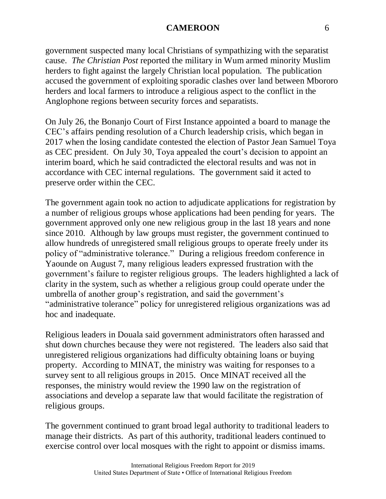government suspected many local Christians of sympathizing with the separatist cause. *The Christian Post* reported the military in Wum armed minority Muslim herders to fight against the largely Christian local population. The publication accused the government of exploiting sporadic clashes over land between Mbororo herders and local farmers to introduce a religious aspect to the conflict in the Anglophone regions between security forces and separatists.

On July 26, the Bonanjo Court of First Instance appointed a board to manage the CEC's affairs pending resolution of a Church leadership crisis, which began in 2017 when the losing candidate contested the election of Pastor Jean Samuel Toya as CEC president. On July 30, Toya appealed the court's decision to appoint an interim board, which he said contradicted the electoral results and was not in accordance with CEC internal regulations. The government said it acted to preserve order within the CEC.

The government again took no action to adjudicate applications for registration by a number of religious groups whose applications had been pending for years. The government approved only one new religious group in the last 18 years and none since 2010. Although by law groups must register, the government continued to allow hundreds of unregistered small religious groups to operate freely under its policy of "administrative tolerance." During a religious freedom conference in Yaounde on August 7, many religious leaders expressed frustration with the government's failure to register religious groups. The leaders highlighted a lack of clarity in the system, such as whether a religious group could operate under the umbrella of another group's registration, and said the government's "administrative tolerance" policy for unregistered religious organizations was ad hoc and inadequate.

Religious leaders in Douala said government administrators often harassed and shut down churches because they were not registered. The leaders also said that unregistered religious organizations had difficulty obtaining loans or buying property. According to MINAT, the ministry was waiting for responses to a survey sent to all religious groups in 2015. Once MINAT received all the responses, the ministry would review the 1990 law on the registration of associations and develop a separate law that would facilitate the registration of religious groups.

The government continued to grant broad legal authority to traditional leaders to manage their districts. As part of this authority, traditional leaders continued to exercise control over local mosques with the right to appoint or dismiss imams.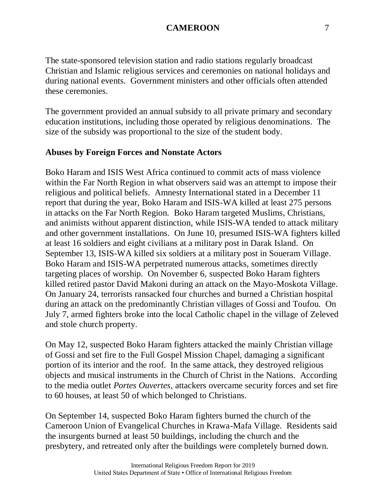The state-sponsored television station and radio stations regularly broadcast Christian and Islamic religious services and ceremonies on national holidays and during national events. Government ministers and other officials often attended these ceremonies.

The government provided an annual subsidy to all private primary and secondary education institutions, including those operated by religious denominations. The size of the subsidy was proportional to the size of the student body.

### **Abuses by Foreign Forces and Nonstate Actors**

Boko Haram and ISIS West Africa continued to commit acts of mass violence within the Far North Region in what observers said was an attempt to impose their religious and political beliefs. Amnesty International stated in a December 11 report that during the year, Boko Haram and ISIS-WA killed at least 275 persons in attacks on the Far North Region. Boko Haram targeted Muslims, Christians, and animists without apparent distinction, while ISIS-WA tended to attack military and other government installations. On June 10, presumed ISIS-WA fighters killed at least 16 soldiers and eight civilians at a military post in Darak Island. On September 13, ISIS-WA killed six soldiers at a military post in Soueram Village. Boko Haram and ISIS-WA perpetrated numerous attacks, sometimes directly targeting places of worship. On November 6, suspected Boko Haram fighters killed retired pastor David Makoni during an attack on the Mayo-Moskota Village. On January 24, terrorists ransacked four churches and burned a Christian hospital during an attack on the predominantly Christian villages of Gossi and Toufou. On July 7, armed fighters broke into the local Catholic chapel in the village of Zeleved and stole church property.

On May 12, suspected Boko Haram fighters attacked the mainly Christian village of Gossi and set fire to the Full Gospel Mission Chapel, damaging a significant portion of its interior and the roof. In the same attack, they destroyed religious objects and musical instruments in the Church of Christ in the Nations. According to the media outlet *Portes Ouvertes*, attackers overcame security forces and set fire to 60 houses, at least 50 of which belonged to Christians.

On September 14, suspected Boko Haram fighters burned the church of the Cameroon Union of Evangelical Churches in Krawa-Mafa Village. Residents said the insurgents burned at least 50 buildings, including the church and the presbytery, and retreated only after the buildings were completely burned down.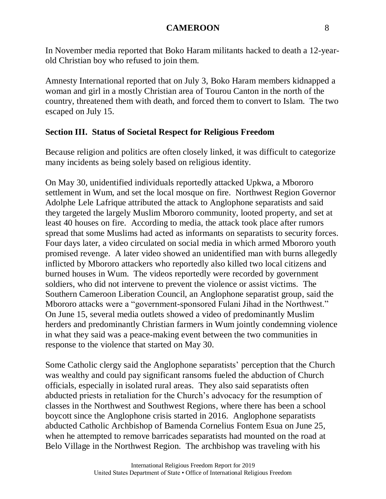In November media reported that Boko Haram militants hacked to death a 12-yearold Christian boy who refused to join them.

Amnesty International reported that on July 3, Boko Haram members kidnapped a woman and girl in a mostly Christian area of Tourou Canton in the north of the country, threatened them with death, and forced them to convert to Islam. The two escaped on July 15.

# **Section III. Status of Societal Respect for Religious Freedom**

Because religion and politics are often closely linked, it was difficult to categorize many incidents as being solely based on religious identity.

On May 30, unidentified individuals reportedly attacked Upkwa, a Mbororo settlement in Wum, and set the local mosque on fire. Northwest Region Governor Adolphe Lele Lafrique attributed the attack to Anglophone separatists and said they targeted the largely Muslim Mbororo community, looted property, and set at least 40 houses on fire. According to media, the attack took place after rumors spread that some Muslims had acted as informants on separatists to security forces. Four days later, a video circulated on social media in which armed Mbororo youth promised revenge. A later video showed an unidentified man with burns allegedly inflicted by Mbororo attackers who reportedly also killed two local citizens and burned houses in Wum. The videos reportedly were recorded by government soldiers, who did not intervene to prevent the violence or assist victims. The Southern Cameroon Liberation Council, an Anglophone separatist group, said the Mbororo attacks were a "government-sponsored Fulani Jihad in the Northwest." On June 15, several media outlets showed a video of predominantly Muslim herders and predominantly Christian farmers in Wum jointly condemning violence in what they said was a peace-making event between the two communities in response to the violence that started on May 30.

Some Catholic clergy said the Anglophone separatists' perception that the Church was wealthy and could pay significant ransoms fueled the abduction of Church officials, especially in isolated rural areas. They also said separatists often abducted priests in retaliation for the Church's advocacy for the resumption of classes in the Northwest and Southwest Regions, where there has been a school boycott since the Anglophone crisis started in 2016. Anglophone separatists abducted Catholic Archbishop of Bamenda Cornelius Fontem Esua on June 25, when he attempted to remove barricades separatists had mounted on the road at Belo Village in the Northwest Region. The archbishop was traveling with his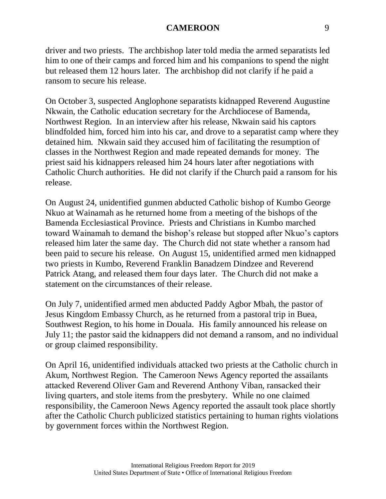driver and two priests. The archbishop later told media the armed separatists led him to one of their camps and forced him and his companions to spend the night but released them 12 hours later. The archbishop did not clarify if he paid a ransom to secure his release.

On October 3, suspected Anglophone separatists kidnapped Reverend Augustine Nkwain, the Catholic education secretary for the Archdiocese of Bamenda, Northwest Region. In an interview after his release, Nkwain said his captors blindfolded him, forced him into his car, and drove to a separatist camp where they detained him. Nkwain said they accused him of facilitating the resumption of classes in the Northwest Region and made repeated demands for money. The priest said his kidnappers released him 24 hours later after negotiations with Catholic Church authorities. He did not clarify if the Church paid a ransom for his release.

On August 24, unidentified gunmen abducted Catholic bishop of Kumbo George Nkuo at Wainamah as he returned home from a meeting of the bishops of the Bamenda Ecclesiastical Province. Priests and Christians in Kumbo marched toward Wainamah to demand the bishop's release but stopped after Nkuo's captors released him later the same day. The Church did not state whether a ransom had been paid to secure his release. On August 15, unidentified armed men kidnapped two priests in Kumbo, Reverend Franklin Banadzem Dindzee and Reverend Patrick Atang, and released them four days later. The Church did not make a statement on the circumstances of their release.

On July 7, unidentified armed men abducted Paddy Agbor Mbah, the pastor of Jesus Kingdom Embassy Church, as he returned from a pastoral trip in Buea, Southwest Region, to his home in Douala. His family announced his release on July 11; the pastor said the kidnappers did not demand a ransom, and no individual or group claimed responsibility.

On April 16, unidentified individuals attacked two priests at the Catholic church in Akum, Northwest Region. The Cameroon News Agency reported the assailants attacked Reverend Oliver Gam and Reverend Anthony Viban, ransacked their living quarters, and stole items from the presbytery. While no one claimed responsibility, the Cameroon News Agency reported the assault took place shortly after the Catholic Church publicized statistics pertaining to human rights violations by government forces within the Northwest Region.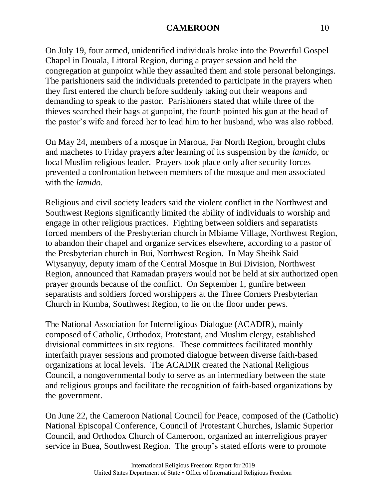On July 19, four armed, unidentified individuals broke into the Powerful Gospel Chapel in Douala, Littoral Region, during a prayer session and held the congregation at gunpoint while they assaulted them and stole personal belongings. The parishioners said the individuals pretended to participate in the prayers when they first entered the church before suddenly taking out their weapons and demanding to speak to the pastor. Parishioners stated that while three of the thieves searched their bags at gunpoint, the fourth pointed his gun at the head of the pastor's wife and forced her to lead him to her husband, who was also robbed.

On May 24, members of a mosque in Maroua, Far North Region, brought clubs and machetes to Friday prayers after learning of its suspension by the *lamido*, or local Muslim religious leader. Prayers took place only after security forces prevented a confrontation between members of the mosque and men associated with the *lamido*.

Religious and civil society leaders said the violent conflict in the Northwest and Southwest Regions significantly limited the ability of individuals to worship and engage in other religious practices. Fighting between soldiers and separatists forced members of the Presbyterian church in Mbiame Village, Northwest Region, to abandon their chapel and organize services elsewhere, according to a pastor of the Presbyterian church in Bui, Northwest Region. In May Sheihk Said Wiysanyuy, deputy imam of the Central Mosque in Bui Division, Northwest Region, announced that Ramadan prayers would not be held at six authorized open prayer grounds because of the conflict. On September 1, gunfire between separatists and soldiers forced worshippers at the Three Corners Presbyterian Church in Kumba, Southwest Region, to lie on the floor under pews.

The National Association for Interreligious Dialogue (ACADIR), mainly composed of Catholic, Orthodox, Protestant, and Muslim clergy, established divisional committees in six regions. These committees facilitated monthly interfaith prayer sessions and promoted dialogue between diverse faith-based organizations at local levels. The ACADIR created the National Religious Council, a nongovernmental body to serve as an intermediary between the state and religious groups and facilitate the recognition of faith-based organizations by the government.

On June 22, the Cameroon National Council for Peace, composed of the (Catholic) National Episcopal Conference, Council of Protestant Churches, Islamic Superior Council, and Orthodox Church of Cameroon, organized an interreligious prayer service in Buea, Southwest Region. The group's stated efforts were to promote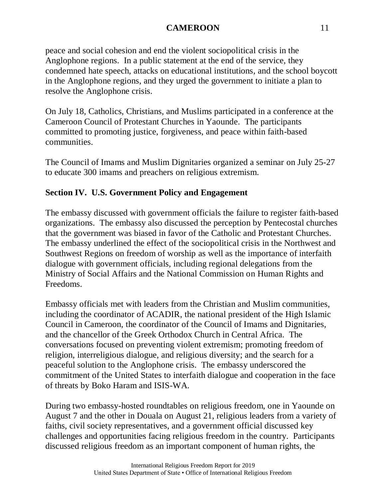peace and social cohesion and end the violent sociopolitical crisis in the Anglophone regions. In a public statement at the end of the service, they condemned hate speech, attacks on educational institutions, and the school boycott in the Anglophone regions, and they urged the government to initiate a plan to resolve the Anglophone crisis.

On July 18, Catholics, Christians, and Muslims participated in a conference at the Cameroon Council of Protestant Churches in Yaounde. The participants committed to promoting justice, forgiveness, and peace within faith-based communities.

The Council of Imams and Muslim Dignitaries organized a seminar on July 25-27 to educate 300 imams and preachers on religious extremism.

# **Section IV. U.S. Government Policy and Engagement**

The embassy discussed with government officials the failure to register faith-based organizations. The embassy also discussed the perception by Pentecostal churches that the government was biased in favor of the Catholic and Protestant Churches. The embassy underlined the effect of the sociopolitical crisis in the Northwest and Southwest Regions on freedom of worship as well as the importance of interfaith dialogue with government officials, including regional delegations from the Ministry of Social Affairs and the National Commission on Human Rights and Freedoms.

Embassy officials met with leaders from the Christian and Muslim communities, including the coordinator of ACADIR, the national president of the High Islamic Council in Cameroon, the coordinator of the Council of Imams and Dignitaries, and the chancellor of the Greek Orthodox Church in Central Africa. The conversations focused on preventing violent extremism; promoting freedom of religion, interreligious dialogue, and religious diversity; and the search for a peaceful solution to the Anglophone crisis. The embassy underscored the commitment of the United States to interfaith dialogue and cooperation in the face of threats by Boko Haram and ISIS-WA.

During two embassy-hosted roundtables on religious freedom, one in Yaounde on August 7 and the other in Douala on August 21, religious leaders from a variety of faiths, civil society representatives, and a government official discussed key challenges and opportunities facing religious freedom in the country. Participants discussed religious freedom as an important component of human rights, the